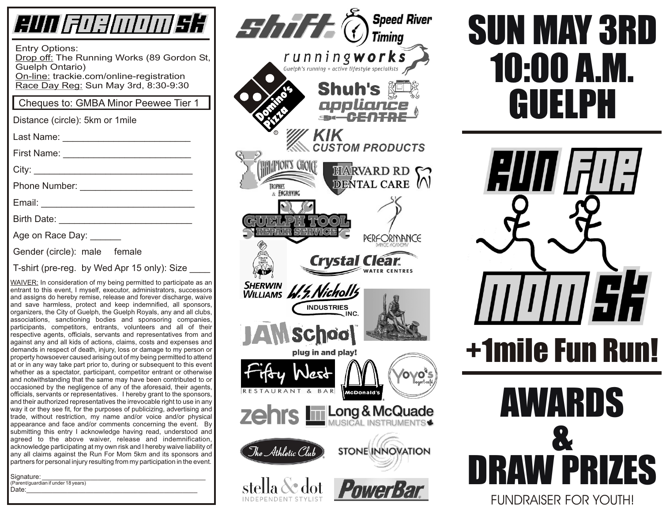| RUN FOELOOD SK                                                                                                                                                                                                                                                                                                                                                                                                                                                                                                                                                                                                                                                                                                                                                                                                                                                                                                                                                                                                                                                                                                                                                                                                                                                                                                                                                                                                                                                                                                                                                                                                                                                                                                                                                                                                                                                                             |
|--------------------------------------------------------------------------------------------------------------------------------------------------------------------------------------------------------------------------------------------------------------------------------------------------------------------------------------------------------------------------------------------------------------------------------------------------------------------------------------------------------------------------------------------------------------------------------------------------------------------------------------------------------------------------------------------------------------------------------------------------------------------------------------------------------------------------------------------------------------------------------------------------------------------------------------------------------------------------------------------------------------------------------------------------------------------------------------------------------------------------------------------------------------------------------------------------------------------------------------------------------------------------------------------------------------------------------------------------------------------------------------------------------------------------------------------------------------------------------------------------------------------------------------------------------------------------------------------------------------------------------------------------------------------------------------------------------------------------------------------------------------------------------------------------------------------------------------------------------------------------------------------|
| <b>Entry Options:</b><br>Drop off: The Running Works (89 Gordon St,<br><b>Guelph Ontario)</b><br>On-line: trackie.com/online-registration<br>Race Day Reg: Sun May 3rd, 8:30-9:30                                                                                                                                                                                                                                                                                                                                                                                                                                                                                                                                                                                                                                                                                                                                                                                                                                                                                                                                                                                                                                                                                                                                                                                                                                                                                                                                                                                                                                                                                                                                                                                                                                                                                                          |
| Cheques to: GMBA Minor Peewee Tier 1                                                                                                                                                                                                                                                                                                                                                                                                                                                                                                                                                                                                                                                                                                                                                                                                                                                                                                                                                                                                                                                                                                                                                                                                                                                                                                                                                                                                                                                                                                                                                                                                                                                                                                                                                                                                                                                       |
| Distance (circle): 5km or 1mile                                                                                                                                                                                                                                                                                                                                                                                                                                                                                                                                                                                                                                                                                                                                                                                                                                                                                                                                                                                                                                                                                                                                                                                                                                                                                                                                                                                                                                                                                                                                                                                                                                                                                                                                                                                                                                                            |
| Last Name: <u>_______________</u>                                                                                                                                                                                                                                                                                                                                                                                                                                                                                                                                                                                                                                                                                                                                                                                                                                                                                                                                                                                                                                                                                                                                                                                                                                                                                                                                                                                                                                                                                                                                                                                                                                                                                                                                                                                                                                                          |
| First Name:                                                                                                                                                                                                                                                                                                                                                                                                                                                                                                                                                                                                                                                                                                                                                                                                                                                                                                                                                                                                                                                                                                                                                                                                                                                                                                                                                                                                                                                                                                                                                                                                                                                                                                                                                                                                                                                                                |
|                                                                                                                                                                                                                                                                                                                                                                                                                                                                                                                                                                                                                                                                                                                                                                                                                                                                                                                                                                                                                                                                                                                                                                                                                                                                                                                                                                                                                                                                                                                                                                                                                                                                                                                                                                                                                                                                                            |
|                                                                                                                                                                                                                                                                                                                                                                                                                                                                                                                                                                                                                                                                                                                                                                                                                                                                                                                                                                                                                                                                                                                                                                                                                                                                                                                                                                                                                                                                                                                                                                                                                                                                                                                                                                                                                                                                                            |
| Email: <u>________________</u>                                                                                                                                                                                                                                                                                                                                                                                                                                                                                                                                                                                                                                                                                                                                                                                                                                                                                                                                                                                                                                                                                                                                                                                                                                                                                                                                                                                                                                                                                                                                                                                                                                                                                                                                                                                                                                                             |
| Birth Date: <u>______________</u>                                                                                                                                                                                                                                                                                                                                                                                                                                                                                                                                                                                                                                                                                                                                                                                                                                                                                                                                                                                                                                                                                                                                                                                                                                                                                                                                                                                                                                                                                                                                                                                                                                                                                                                                                                                                                                                          |
| Age on Race Day: ______                                                                                                                                                                                                                                                                                                                                                                                                                                                                                                                                                                                                                                                                                                                                                                                                                                                                                                                                                                                                                                                                                                                                                                                                                                                                                                                                                                                                                                                                                                                                                                                                                                                                                                                                                                                                                                                                    |
| Gender (circle): male female                                                                                                                                                                                                                                                                                                                                                                                                                                                                                                                                                                                                                                                                                                                                                                                                                                                                                                                                                                                                                                                                                                                                                                                                                                                                                                                                                                                                                                                                                                                                                                                                                                                                                                                                                                                                                                                               |
| T-shirt (pre-reg. by Wed Apr 15 only): Size                                                                                                                                                                                                                                                                                                                                                                                                                                                                                                                                                                                                                                                                                                                                                                                                                                                                                                                                                                                                                                                                                                                                                                                                                                                                                                                                                                                                                                                                                                                                                                                                                                                                                                                                                                                                                                                |
| WAIVER: In consideration of my being permitted to participate as an<br>entrant to this event, I myself, executor, administrators, successors<br>and assigns do hereby remise, release and forever discharge, waive<br>and save harmless, protect and keep indemnified, all sponsors,<br>organizers, the City of Guelph, the Guelph Royals, any and all clubs,<br>associations, sanctioning bodies and sponsoring companies,<br>participants, competitors, entrants, volunteers and all of their<br>respective agents, officials, servants and representatives from and<br>against any and all kids of actions, claims, costs and expenses and<br>demands in respect of death, injury, loss or damage to my person or<br>property howsoever caused arising out of my being permitted to attend<br>at or in any way take part prior to, during or subsequent to this event<br>whether as a spectator, participant, competitor entrant or otherwise<br>and notwithstanding that the same may have been contributed to or<br>occasioned by the negligence of any of the aforesaid, their agents,<br>officials, servants or representatives. I hereby grant to the sponsors,<br>and their authorized representatives the irrevocable right to use in any<br>way it or they see fit, for the purposes of publicizing, advertising and<br>trade, without restriction, my name and/or voice and/or physical<br>appearance and face and/or comments concerning the event.<br>By<br>submitting this entry I acknowledge having read, understood and<br>above waiver, release and indemnification,<br>agreed to the<br>acknowledge participating at my own risk and I hereby waive liability of<br>any all claims against the Run For Mom 5km and its sponsors and<br>partners for personal injury resulting from my participation in the event.<br>Signature:<br>(Parent/guardian if under 18 years) |



# SUN MAY 3RD Shuh's **ELET CUELPH** 10:00 A.M.